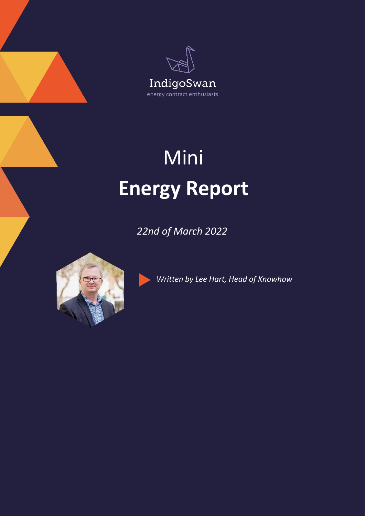



## Mini **Energy Report**

*22nd of March 2022*



*Written by Lee Hart, Head of Knowhow*